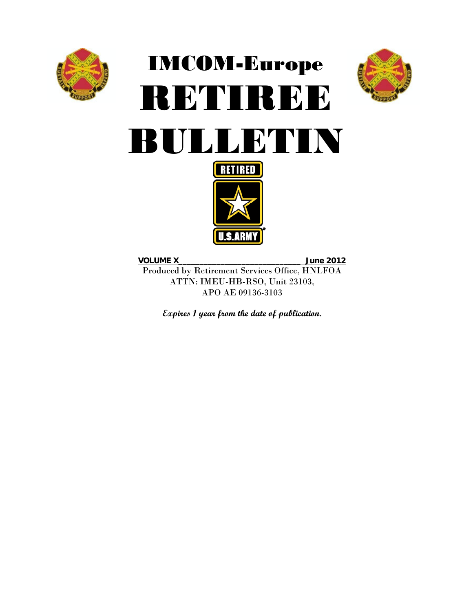

# IMCOM-Europe RETIREE







**VOLUME X**\_\_\_\_\_\_\_\_\_\_\_\_\_\_\_\_\_\_\_\_\_\_\_\_\_\_\_\_\_ **June 2012** Produced by Retirement Services Office, HNLFOA ATTN: IMEU-HB-RSO, Unit 23103, APO AE 09136-3103

**Expires 1 year from the date of publication.**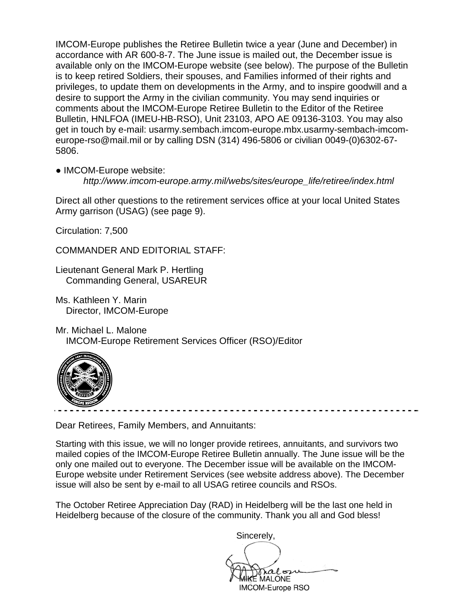IMCOM-Europe publishes the Retiree Bulletin twice a year (June and December) in accordance with AR 600-8-7. The June issue is mailed out, the December issue is available only on the IMCOM-Europe website (see below). The purpose of the Bulletin is to keep retired Soldiers, their spouses, and Families informed of their rights and privileges, to update them on developments in the Army, and to inspire goodwill and a desire to support the Army in the civilian community. You may send inquiries or comments about the IMCOM-Europe Retiree Bulletin to the Editor of the Retiree Bulletin, HNLFOA (IMEU-HB-RSO), Unit 23103, APO AE 09136-3103. You may also get in touch by e-mail: usarmy.sembach.imcom-europe.mbx.usarmy-sembach-imcomeurope-rso@mail.mil or by calling DSN (314) 496-5806 or civilian 0049-(0)6302-67- 5806.

● IMCOM-Europe website:

*http://www.imcom-europe.army.mil/webs/sites/europe\_life/retiree/index.html*

Direct all other questions to the retirement services office at your local United States Army garrison (USAG) (see page 9).

Circulation: 7,500

COMMANDER AND EDITORIAL STAFF:

Lieutenant General Mark P. Hertling Commanding General, USAREUR

Ms. Kathleen Y. Marin Director, IMCOM-Europe

Mr. Michael L. Malone IMCOM-Europe Retirement Services Officer (RSO)/Editor



Dear Retirees, Family Members, and Annuitants:

Starting with this issue, we will no longer provide retirees, annuitants, and survivors two mailed copies of the IMCOM-Europe Retiree Bulletin annually. The June issue will be the only one mailed out to everyone. The December issue will be available on the IMCOM-Europe website under Retirement Services (see website address above). The December issue will also be sent by e-mail to all USAG retiree councils and RSOs.

The October Retiree Appreciation Day (RAD) in Heidelberg will be the last one held in Heidelberg because of the closure of the community. Thank you all and God bless!

Sincerely,

 $\Delta$  Michael L. Malone IMCOM-Europe RSO**MALONE IMCOM-Europe RSO**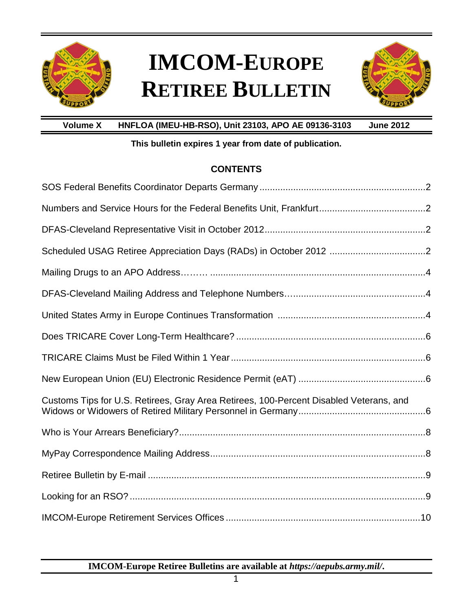

## **IMCOM-EUROPE RETIREE BULLETIN**



**Volume X HNFLOA (IMEU-HB-RSO), Unit 23103, APO AE 09136-3103 June 2012**

### **This bulletin expires 1 year from date of publication.**

### **CONTENTS**

| Customs Tips for U.S. Retirees, Gray Area Retirees, 100-Percent Disabled Veterans, and |  |
|----------------------------------------------------------------------------------------|--|
|                                                                                        |  |
|                                                                                        |  |
|                                                                                        |  |
|                                                                                        |  |
|                                                                                        |  |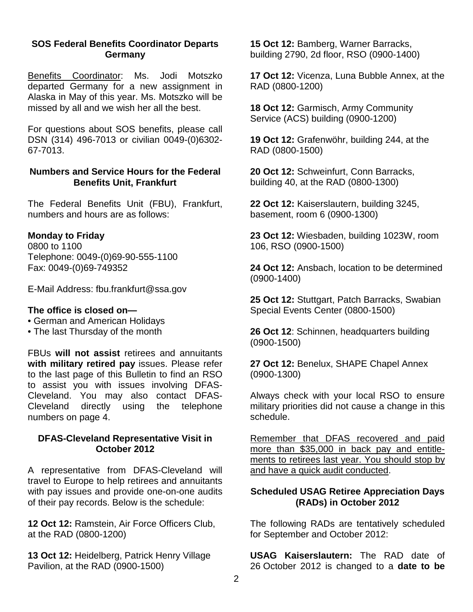#### **SOS Federal Benefits Coordinator Departs Germany**

Benefits Coordinator: Ms. Jodi Motszko departed Germany for a new assignment in Alaska in May of this year. Ms. Motszko will be missed by all and we wish her all the best.

For questions about SOS benefits, please call DSN (314) 496-7013 or civilian 0049-(0)6302- 67-7013.

#### **Numbers and Service Hours for the Federal Benefits Unit, Frankfurt**

The Federal Benefits Unit (FBU), Frankfurt, numbers and hours are as follows:

### **Monday to Friday**

0800 to 1100 Telephone: 0049-(0)69-90-555-1100 Fax: 0049-(0)69-749352

E-Mail Address: fbu.frankfurt@ssa.gov

#### **The office is closed on—**

- German and American Holidays
- The last Thursday of the month

FBUs **will not assist** retirees and annuitants **with military retired pay** issues. Please refer to the last page of this Bulletin to find an RSO to assist you with issues involving DFAS-Cleveland. You may also contact DFAS-Cleveland directly using the telephone numbers on page 4.

#### **DFAS-Cleveland Representative Visit in October 2012**

A representative from DFAS-Cleveland will travel to Europe to help retirees and annuitants with pay issues and provide one-on-one audits of their pay records. Below is the schedule:

**12 Oct 12:** Ramstein, Air Force Officers Club, at the RAD (0800-1200)

**13 Oct 12:** Heidelberg, Patrick Henry Village Pavilion, at the RAD (0900-1500)

**15 Oct 12:** Bamberg, Warner Barracks, building 2790, 2d floor, RSO (0900-1400)

**17 Oct 12:** Vicenza, Luna Bubble Annex, at the RAD (0800-1200)

**18 Oct 12:** Garmisch, Army Community Service (ACS) building (0900-1200)

**19 Oct 12:** Grafenwöhr, building 244, at the RAD (0800-1500)

**20 Oct 12:** Schweinfurt, Conn Barracks, building 40, at the RAD (0800-1300)

**22 Oct 12:** Kaiserslautern, building 3245, basement, room 6 (0900-1300)

**23 Oct 12:** Wiesbaden, building 1023W, room 106, RSO (0900-1500)

**24 Oct 12:** Ansbach, location to be determined (0900-1400)

**25 Oct 12:** Stuttgart, Patch Barracks, Swabian Special Events Center (0800-1500)

**26 Oct 12**: Schinnen, headquarters building (0900-1500)

**27 Oct 12:** Benelux, SHAPE Chapel Annex (0900-1300)

Always check with your local RSO to ensure military priorities did not cause a change in this schedule.

Remember that DFAS recovered and paid more than \$35,000 in back pay and entitlements to retirees last year. You should stop by and have a quick audit conducted.

### **Scheduled USAG Retiree Appreciation Days (RADs) in October 2012**

The following RADs are tentatively scheduled for September and October 2012:

**USAG Kaiserslautern:** The RAD date of 26 October 2012 is changed to a **date to be**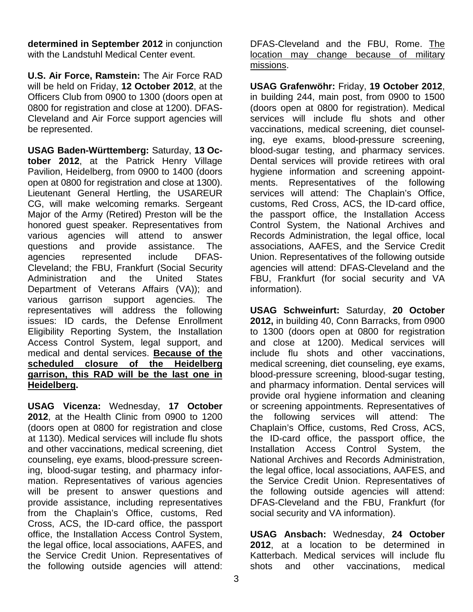**determined in September 2012** in conjunction with the Landstuhl Medical Center event.

**U.S. Air Force, Ramstein:** The Air Force RAD will be held on Friday, **12 October 2012**, at the Officers Club from 0900 to 1300 (doors open at 0800 for registration and close at 1200). DFAS-Cleveland and Air Force support agencies will be represented.

**USAG Baden-Württemberg:** Saturday, **13 October 2012**, at the Patrick Henry Village Pavilion, Heidelberg, from 0900 to 1400 (doors open at 0800 for registration and close at 1300). Lieutenant General Hertling, the USAREUR CG, will make welcoming remarks. Sergeant Major of the Army (Retired) Preston will be the honored guest speaker. Representatives from various agencies will attend to answer questions and provide assistance. The agencies represented include DFAS-Cleveland; the FBU, Frankfurt (Social Security Administration and the United States Department of Veterans Affairs (VA)); and various garrison support agencies. The representatives will address the following issues: ID cards, the Defense Enrollment Eligibility Reporting System, the Installation Access Control System, legal support, and medical and dental services. **Because of the scheduled closure of the Heidelberg garrison, this RAD will be the last one in Heidelberg.**

**USAG Vicenza:** Wednesday, **17 October 2012**, at the Health Clinic from 0900 to 1200 (doors open at 0800 for registration and close at 1130). Medical services will include flu shots and other vaccinations, medical screening, diet counseling, eye exams, blood-pressure screening, blood-sugar testing, and pharmacy information. Representatives of various agencies will be present to answer questions and provide assistance, including representatives from the Chaplain's Office, customs, Red Cross, ACS, the ID-card office, the passport office, the Installation Access Control System, the legal office, local associations, AAFES, and the Service Credit Union. Representatives of the following outside agencies will attend:

DFAS-Cleveland and the FBU, Rome. The location may change because of military missions.

**USAG Grafenwöhr:** Friday, **19 October 2012**, in building 244, main post, from 0900 to 1500 (doors open at 0800 for registration). Medical services will include flu shots and other vaccinations, medical screening, diet counseling, eye exams, blood-pressure screening, blood-sugar testing, and pharmacy services. Dental services will provide retirees with oral hygiene information and screening appointments. Representatives of the following services will attend: The Chaplain's Office, customs, Red Cross, ACS, the ID-card office, the passport office, the Installation Access Control System, the National Archives and Records Administration, the legal office, local associations, AAFES, and the Service Credit Union. Representatives of the following outside agencies will attend: DFAS-Cleveland and the FBU, Frankfurt (for social security and VA information).

**USAG Schweinfurt:** Saturday, **20 October 2012,** in building 40, Conn Barracks, from 0900 to 1300 (doors open at 0800 for registration and close at 1200). Medical services will include flu shots and other vaccinations, medical screening, diet counseling, eye exams, blood-pressure screening, blood-sugar testing, and pharmacy information. Dental services will provide oral hygiene information and cleaning or screening appointments. Representatives of the following services will attend: The Chaplain's Office, customs, Red Cross, ACS, the ID-card office, the passport office, the Installation Access Control System, the National Archives and Records Administration, the legal office, local associations, AAFES, and the Service Credit Union. Representatives of the following outside agencies will attend: DFAS-Cleveland and the FBU, Frankfurt (for social security and VA information).

**USAG Ansbach:** Wednesday, **24 October 2012**, at a location to be determined in Katterbach. Medical services will include flu shots and other vaccinations, medical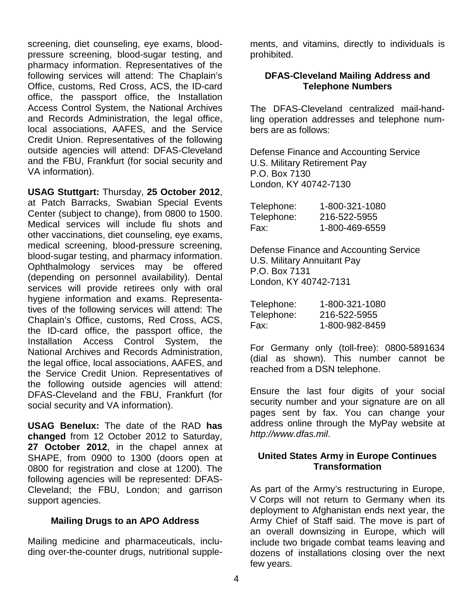screening, diet counseling, eye exams, bloodpressure screening, blood-sugar testing, and pharmacy information. Representatives of the following services will attend: The Chaplain's Office, customs, Red Cross, ACS, the ID-card office, the passport office, the Installation Access Control System, the National Archives and Records Administration, the legal office, local associations, AAFES, and the Service Credit Union. Representatives of the following outside agencies will attend: DFAS-Cleveland and the FBU, Frankfurt (for social security and VA information).

**USAG Stuttgart:** Thursday, **25 October 2012**, at Patch Barracks, Swabian Special Events Center (subject to change), from 0800 to 1500. Medical services will include flu shots and other vaccinations, diet counseling, eye exams, medical screening, blood-pressure screening, blood-sugar testing, and pharmacy information. Ophthalmology services may be offered (depending on personnel availability). Dental services will provide retirees only with oral hygiene information and exams. Representatives of the following services will attend: The Chaplain's Office, customs, Red Cross, ACS, the ID-card office, the passport office, the Installation Access Control System, the National Archives and Records Administration, the legal office, local associations, AAFES, and the Service Credit Union. Representatives of the following outside agencies will attend: DFAS-Cleveland and the FBU, Frankfurt (for social security and VA information).

**USAG Benelux:** The date of the RAD **has changed** from 12 October 2012 to Saturday, **27 October 2012**, in the chapel annex at SHAPE, from 0900 to 1300 (doors open at 0800 for registration and close at 1200). The following agencies will be represented: DFAS-Cleveland; the FBU, London; and garrison support agencies.

#### **Mailing Drugs to an APO Address**

Mailing medicine and pharmaceuticals, including over-the-counter drugs, nutritional supplements, and vitamins, directly to individuals is prohibited.

#### **DFAS-Cleveland Mailing Address and Telephone Numbers**

The DFAS-Cleveland centralized mail-handling operation addresses and telephone numbers are as follows:

Defense Finance and Accounting Service U.S. Military Retirement Pay P.O. Box 7130 London, KY 40742-7130

| Telephone: | 1-800-321-1080 |
|------------|----------------|
| Telephone: | 216-522-5955   |
| Fax:       | 1-800-469-6559 |

Defense Finance and Accounting Service U.S. Military Annuitant Pay P.O. Box 7131 London, KY 40742-7131

| Telephone: | 1-800-321-1080 |
|------------|----------------|
| Telephone: | 216-522-5955   |
| Fax:       | 1-800-982-8459 |

For Germany only (toll-free): 0800-5891634 (dial as shown). This number cannot be reached from a DSN telephone.

Ensure the last four digits of your social security number and your signature are on all pages sent by fax. You can change your address online through the MyPay website at *http://www.dfas.mil*.

#### **United States Army in Europe Continues Transformation**

As part of the Army's restructuring in Europe, V Corps will not return to Germany when its deployment to Afghanistan ends next year, the Army Chief of Staff said. The move is part of an overall downsizing in Europe, which will include two brigade combat teams leaving and dozens of installations closing over the next few years.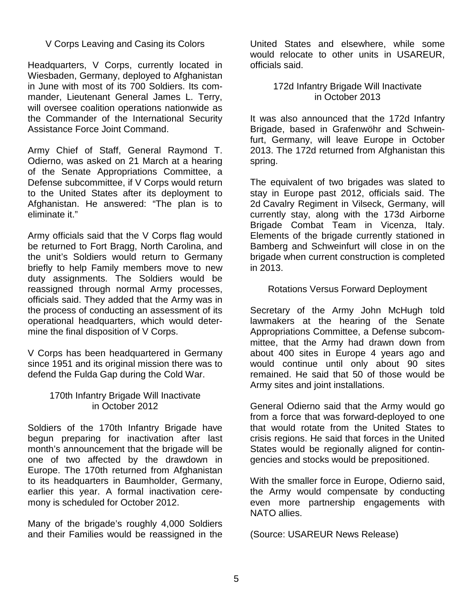### V Corps Leaving and Casing its Colors

Headquarters, V Corps, currently located in Wiesbaden, Germany, deployed to Afghanistan in June with most of its 700 Soldiers. Its commander, Lieutenant General James L. Terry, will oversee coalition operations nationwide as the Commander of the International Security Assistance Force Joint Command.

Army Chief of Staff, General Raymond T. Odierno, was asked on 21 March at a hearing of the Senate Appropriations Committee, a Defense subcommittee, if V Corps would return to the United States after its deployment to Afghanistan. He answered: "The plan is to eliminate it."

Army officials said that the V Corps flag would be returned to Fort Bragg, North Carolina, and the unit's Soldiers would return to Germany briefly to help Family members move to new duty assignments. The Soldiers would be reassigned through normal Army processes, officials said. They added that the Army was in the process of conducting an assessment of its operational headquarters, which would determine the final disposition of V Corps.

V Corps has been headquartered in Germany since 1951 and its original mission there was to defend the Fulda Gap during the Cold War.

#### 170th Infantry Brigade Will Inactivate in October 2012

Soldiers of the 170th Infantry Brigade have begun preparing for inactivation after last month's announcement that the brigade will be one of two affected by the drawdown in Europe. The 170th returned from Afghanistan to its headquarters in Baumholder, Germany, earlier this year. A formal inactivation ceremony is scheduled for October 2012.

Many of the brigade's roughly 4,000 Soldiers and their Families would be reassigned in the

United States and elsewhere, while some would relocate to other units in USAREUR, officials said.

#### 172d Infantry Brigade Will Inactivate in October 2013

It was also announced that the 172d Infantry Brigade, based in Grafenwöhr and Schweinfurt, Germany, will leave Europe in October 2013. The 172d returned from Afghanistan this spring.

The equivalent of two brigades was slated to stay in Europe past 2012, officials said. The 2d Cavalry Regiment in Vilseck, Germany, will currently stay, along with the 173d Airborne Brigade Combat Team in Vicenza, Italy. Elements of the brigade currently stationed in Bamberg and Schweinfurt will close in on the brigade when current construction is completed in 2013.

#### Rotations Versus Forward Deployment

Secretary of the Army John McHugh told lawmakers at the hearing of the Senate Appropriations Committee, a Defense subcommittee, that the Army had drawn down from about 400 sites in Europe 4 years ago and would continue until only about 90 sites remained. He said that 50 of those would be Army sites and joint installations.

General Odierno said that the Army would go from a force that was forward-deployed to one that would rotate from the United States to crisis regions. He said that forces in the United States would be regionally aligned for contingencies and stocks would be prepositioned.

With the smaller force in Europe, Odierno said, the Army would compensate by conducting even more partnership engagements with NATO allies.

(Source: USAREUR News Release)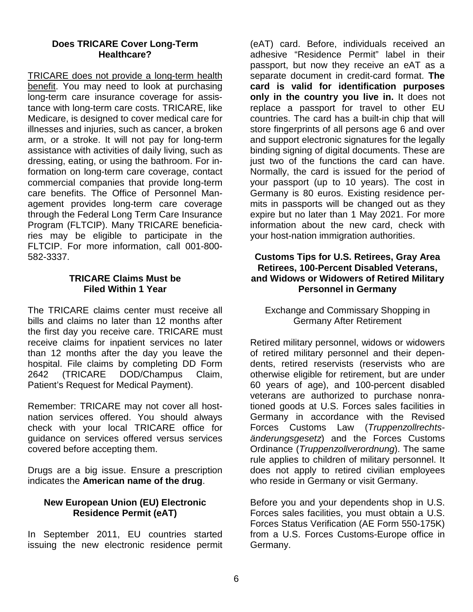#### **Does TRICARE Cover Long-Term Healthcare?**

TRICARE does not provide a long-term health benefit. You may need to look at purchasing long-term care insurance coverage for assistance with long-term care costs. TRICARE, like Medicare, is designed to cover medical care for illnesses and injuries, such as cancer, a broken arm, or a stroke. It will not pay for long-term assistance with activities of daily living, such as dressing, eating, or using the bathroom. For information on long-term care coverage, contact commercial companies that provide long-term care benefits. The Office of Personnel Management provides long-term care coverage through the Federal Long Term Care Insurance Program (FLTCIP). Many TRICARE beneficiaries may be eligible to participate in the FLTCIP. For more information, call 001-800- 582-3337.

#### **TRICARE Claims Must be Filed Within 1 Year**

The TRICARE claims center must receive all bills and claims no later than 12 months after the first day you receive care. TRICARE must receive claims for inpatient services no later than 12 months after the day you leave the hospital. File claims by completing DD Form 2642 (TRICARE DOD/Champus Claim, Patient's Request for Medical Payment).

Remember: TRICARE may not cover all hostnation services offered. You should always check with your local TRICARE office for guidance on services offered versus services covered before accepting them.

Drugs are a big issue. Ensure a prescription indicates the **American name of the drug**.

### **New European Union (EU) Electronic Residence Permit (eAT)**

In September 2011, EU countries started issuing the new electronic residence permit

(eAT) card. Before, individuals received an adhesive "Residence Permit" label in their passport, but now they receive an eAT as a separate document in credit-card format. **The card is valid for identification purposes only in the country you live in.** It does not replace a passport for travel to other EU countries. The card has a built-in chip that will store fingerprints of all persons age 6 and over and support electronic signatures for the legally binding signing of digital documents. These are just two of the functions the card can have. Normally, the card is issued for the period of your passport (up to 10 years). The cost in Germany is 80 euros. Existing residence permits in passports will be changed out as they expire but no later than 1 May 2021. For more information about the new card, check with your host-nation immigration authorities.

#### **Customs Tips for U.S. Retirees, Gray Area Retirees, 100-Percent Disabled Veterans, and Widows or Widowers of Retired Military Personnel in Germany**

Exchange and Commissary Shopping in Germany After Retirement

Retired military personnel, widows or widowers of retired military personnel and their dependents, retired reservists (reservists who are otherwise eligible for retirement, but are under 60 years of age), and 100-percent disabled veterans are authorized to purchase nonrationed goods at U.S. Forces sales facilities in Germany in accordance with the Revised Forces Customs Law (*Truppenzollrechtsänderungsgesetz*) and the Forces Customs Ordinance (*Truppenzollverordnung*). The same rule applies to children of military personnel. It does not apply to retired civilian employees who reside in Germany or visit Germany.

Before you and your dependents shop in U.S. Forces sales facilities, you must obtain a U.S. Forces Status Verification (AE Form 550-175K) from a U.S. Forces Customs-Europe office in Germany.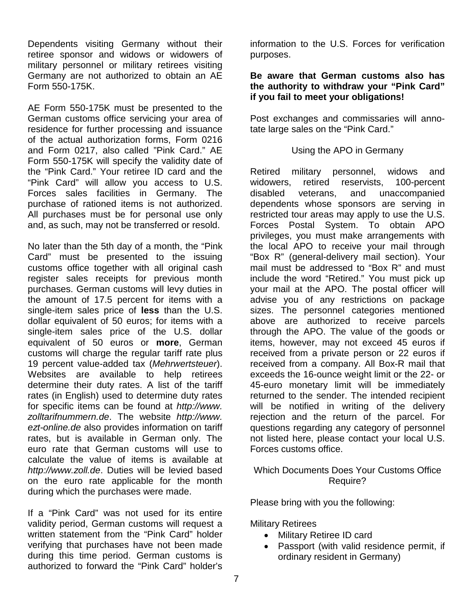Dependents visiting Germany without their retiree sponsor and widows or widowers of military personnel or military retirees visiting Germany are not authorized to obtain an AE Form 550-175K.

AE Form 550-175K must be presented to the German customs office servicing your area of residence for further processing and issuance of the actual authorization forms, Form 0216 and Form 0217, also called "Pink Card." AE Form 550-175K will specify the validity date of the "Pink Card." Your retiree ID card and the "Pink Card" will allow you access to U.S. Forces sales facilities in Germany. The purchase of rationed items is not authorized. All purchases must be for personal use only and, as such, may not be transferred or resold.

No later than the 5th day of a month, the "Pink Card" must be presented to the issuing customs office together with all original cash register sales receipts for previous month purchases. German customs will levy duties in the amount of 17.5 percent for items with a single-item sales price of **less** than the U.S. dollar equivalent of 50 euros; for items with a single-item sales price of the U.S. dollar equivalent of 50 euros or **more**, German customs will charge the regular tariff rate plus 19 percent value-added tax (*Mehrwertsteuer*). Websites are available to help retirees determine their duty rates. A list of the tariff rates (in English) used to determine duty rates for specific items can be found at *http://www. zolltarifnummern.de*. The website *http://www. ezt-online.de* also provides information on tariff rates, but is available in German only. The euro rate that German customs will use to calculate the value of items is available at *http://www.zoll.de*. Duties will be levied based on the euro rate applicable for the month during which the purchases were made.

If a "Pink Card" was not used for its entire validity period, German customs will request a written statement from the "Pink Card" holder verifying that purchases have not been made during this time period. German customs is authorized to forward the "Pink Card" holder's

information to the U.S. Forces for verification purposes.

#### **Be aware that German customs also has the authority to withdraw your "Pink Card" if you fail to meet your obligations!**

Post exchanges and commissaries will annotate large sales on the "Pink Card."

#### Using the APO in Germany

Retired military personnel, widows and widowers, retired reservists, 100-percent disabled veterans, and unaccompanied dependents whose sponsors are serving in restricted tour areas may apply to use the U.S. Forces Postal System. To obtain APO privileges, you must make arrangements with the local APO to receive your mail through "Box R" (general-delivery mail section). Your mail must be addressed to "Box R" and must include the word "Retired." You must pick up your mail at the APO. The postal officer will advise you of any restrictions on package sizes. The personnel categories mentioned above are authorized to receive parcels through the APO. The value of the goods or items, however, may not exceed 45 euros if received from a private person or 22 euros if received from a company. All Box-R mail that exceeds the 16-ounce weight limit or the 22- or 45-euro monetary limit will be immediately returned to the sender. The intended recipient will be notified in writing of the delivery rejection and the return of the parcel. For questions regarding any category of personnel not listed here, please contact your local U.S. Forces customs office.

### Which Documents Does Your Customs Office Require?

Please bring with you the following:

Military Retirees

- Military Retiree ID card
- Passport (with valid residence permit, if ordinary resident in Germany)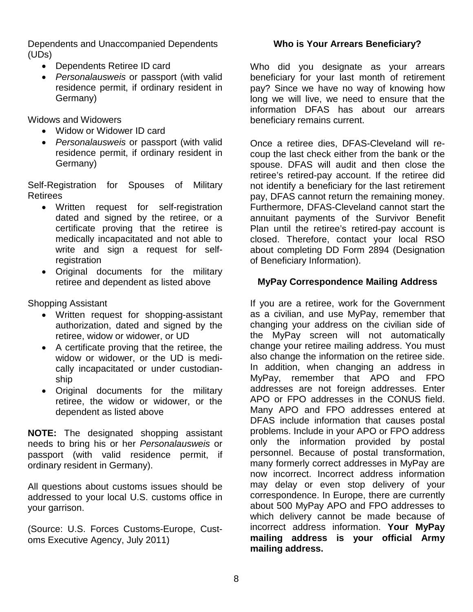Dependents and Unaccompanied Dependents (UDs)

- Dependents Retiree ID card
- *Personalausweis* or passport (with valid residence permit, if ordinary resident in Germany)

Widows and Widowers

- Widow or Widower ID card
- *Personalausweis* or passport (with valid residence permit, if ordinary resident in Germany)

Self-Registration for Spouses of Military Retirees

- Written request for self-registration dated and signed by the retiree, or a certificate proving that the retiree is medically incapacitated and not able to write and sign a request for selfregistration
- Original documents for the military retiree and dependent as listed above

Shopping Assistant

- Written request for shopping-assistant authorization, dated and signed by the retiree, widow or widower, or UD
- A certificate proving that the retiree, the widow or widower, or the UD is medically incapacitated or under custodianship
- Original documents for the military retiree, the widow or widower, or the dependent as listed above

**NOTE:** The designated shopping assistant needs to bring his or her *Personalausweis* or passport (with valid residence permit, if ordinary resident in Germany).

All questions about customs issues should be addressed to your local U.S. customs office in your garrison.

(Source: U.S. Forces Customs-Europe, Customs Executive Agency, July 2011)

### **Who is Your Arrears Beneficiary?**

Who did you designate as your arrears beneficiary for your last month of retirement pay? Since we have no way of knowing how long we will live, we need to ensure that the information DFAS has about our arrears beneficiary remains current.

Once a retiree dies, DFAS-Cleveland will recoup the last check either from the bank or the spouse. DFAS will audit and then close the retiree's retired-pay account. If the retiree did not identify a beneficiary for the last retirement pay, DFAS cannot return the remaining money. Furthermore, DFAS-Cleveland cannot start the annuitant payments of the Survivor Benefit Plan until the retiree's retired-pay account is closed. Therefore, contact your local RSO about completing DD Form 2894 (Designation of Beneficiary Information).

### **MyPay Correspondence Mailing Address**

If you are a retiree, work for the Government as a civilian, and use MyPay, remember that changing your address on the civilian side of the MyPay screen will not automatically change your retiree mailing address. You must also change the information on the retiree side. In addition, when changing an address in MyPay, remember that APO and FPO addresses are not foreign addresses. Enter APO or FPO addresses in the CONUS field. Many APO and FPO addresses entered at DFAS include information that causes postal problems. Include in your APO or FPO address only the information provided by postal personnel. Because of postal transformation, many formerly correct addresses in MyPay are now incorrect. Incorrect address information may delay or even stop delivery of your correspondence. In Europe, there are currently about 500 MyPay APO and FPO addresses to which delivery cannot be made because of incorrect address information. **Your MyPay mailing address is your official Army mailing address.**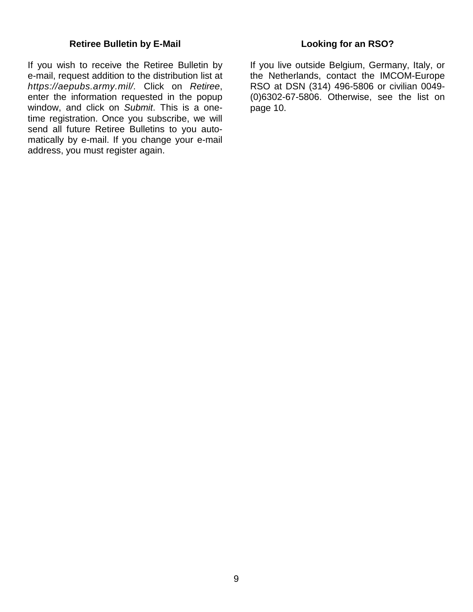#### **Retiree Bulletin by E-Mail**

If you wish to receive the Retiree Bulletin by e-mail, request addition to the distribution list at *https://aepubs.army.mil/.* Click on *Retiree*, enter the information requested in the popup window, and click on *Submit*. This is a onetime registration. Once you subscribe, we will send all future Retiree Bulletins to you automatically by e-mail. If you change your e-mail address, you must register again.

### **Looking for an RSO?**

If you live outside Belgium, Germany, Italy, or the Netherlands, contact the IMCOM-Europe RSO at DSN (314) 496-5806 or civilian 0049- (0)6302-67-5806. Otherwise, see the list on page 10.